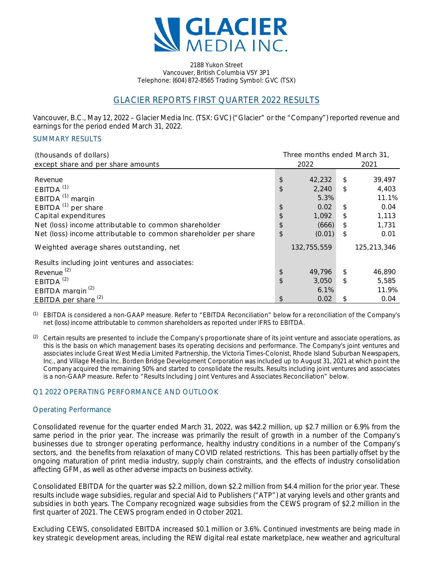

2188 Yukon Street Vancouver, British Columbia V5Y 3P1 Telephone: (604) 872-8565 Trading Symbol: GVC (TSX)

# GLACIER REPORTS FIRST QUARTER 2022 RESULTS

Vancouver, B.C., May 12, 2022 – Glacier Media Inc. (TSX: GVC) ("Glacier" or the "Company") reported revenue and earnings for the period ended March 31, 2022.

### SUMMARY RESULTS

| (thousands of dollars)                                         | Three months ended March 31, |             |    |             |  |
|----------------------------------------------------------------|------------------------------|-------------|----|-------------|--|
| except share and per share amounts                             | 2022                         |             |    | 2021        |  |
| Revenue                                                        | \$                           | 42,232      | \$ | 39,497      |  |
| EBITDA <sup>(1)</sup>                                          | \$                           | 2,240       | \$ | 4,403       |  |
| EBITDA $^{(1)}$ margin                                         |                              | 5.3%        |    | 11.1%       |  |
| EBITDA $^{(1)}$ per share                                      | \$                           | 0.02        | \$ | 0.04        |  |
| Capital expenditures                                           | \$                           | 1,092       | \$ | 1,113       |  |
| Net (loss) income attributable to common shareholder           | \$                           | (666)       | \$ | 1,731       |  |
| Net (loss) income attributable to common shareholder per share | \$                           | (0.01)      | \$ | 0.01        |  |
| Weighted average shares outstanding, net                       |                              | 132,755,559 |    | 125,213,346 |  |
| Results including joint ventures and associates:               |                              |             |    |             |  |
| Revenue <sup>(2)</sup>                                         | \$                           | 49,796      | \$ | 46,890      |  |
| EBITDA <sup>(2)</sup>                                          | \$                           | 3,050       | \$ | 5,585       |  |
| EBITDA margin <sup>(2)</sup>                                   |                              | 6.1%        |    | 11.9%       |  |
| EBITDA per share <sup>(2)</sup>                                | \$                           | 0.02        | \$ | 0.04        |  |

(1) EBITDA is considered a non-GAAP measure. Refer to "EBITDA Reconciliation" below for a reconciliation of the Company's net (loss) income attributable to common shareholders as reported under IFRS to EBITDA.

 $(2)$  Certain results are presented to include the Company's proportionate share of its joint venture and associate operations, as this is the basis on which management bases its operating decisions and performance. The Company's joint ventures and associates include Great West Media Limited Partnership, the Victoria Times-Colonist, Rhode Island Suburban Newspapers, Inc., and Village Media Inc. Borden Bridge Development Corporation was included up to August 31, 2021 at which point the Company acquired the remaining 50% and started to consolidate the results. Results including joint ventures and associates is a non-GAAP measure. Refer to "Results Including Joint Ventures and Associates Reconciliation" below.

# Q1 2022 OPERATING PERFORMANCE AND OUTLOOK

# Operating Performance

Consolidated revenue for the quarter ended March 31, 2022, was \$42.2 million, up \$2.7 million or 6.9% from the same period in the prior year. The increase was primarily the result of growth in a number of the Company's businesses due to stronger operating performance, healthy industry conditions in a number of the Company's sectors, and the benefits from relaxation of many COVID related restrictions. This has been partially offset by the ongoing maturation of print media industry, supply chain constraints, and the effects of industry consolidation affecting GFM, as well as other adverse impacts on business activity.

Consolidated EBITDA for the quarter was \$2.2 million, down \$2.2 million from \$4.4 million for the prior year. These results include wage subsidies, regular and special Aid to Publishers ("ATP") at varying levels and other grants and subsidies in both years. The Company recognized wage subsidies from the CEWS program of \$2.2 million in the first quarter of 2021. The CEWS program ended in October 2021.

Excluding CEWS, consolidated EBITDA increased \$0.1 million or 3.6%. Continued investments are being made in key strategic development areas, including the REW digital real estate marketplace, new weather and agricultural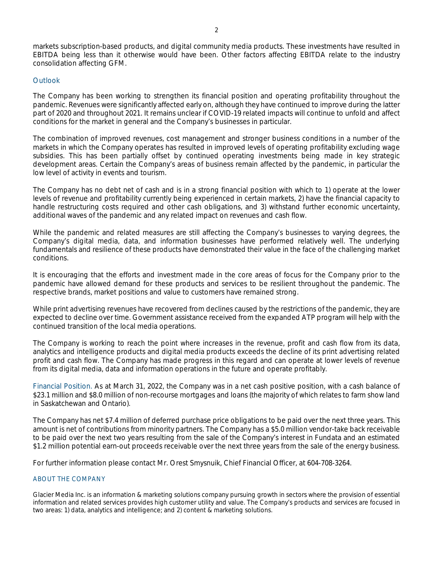markets subscription-based products, and digital community media products. These investments have resulted in EBITDA being less than it otherwise would have been. Other factors affecting EBITDA relate to the industry consolidation affecting GFM.

### **Outlook**

The Company has been working to strengthen its financial position and operating profitability throughout the pandemic. Revenues were significantly affected early on, although they have continued to improve during the latter part of 2020 and throughout 2021. It remains unclear if COVID-19 related impacts will continue to unfold and affect conditions for the market in general and the Company's businesses in particular.

The combination of improved revenues, cost management and stronger business conditions in a number of the markets in which the Company operates has resulted in improved levels of operating profitability excluding wage subsidies. This has been partially offset by continued operating investments being made in key strategic development areas. Certain the Company's areas of business remain affected by the pandemic, in particular the low level of activity in events and tourism.

The Company has no debt net of cash and is in a strong financial position with which to 1) operate at the lower levels of revenue and profitability currently being experienced in certain markets, 2) have the financial capacity to handle restructuring costs required and other cash obligations, and 3) withstand further economic uncertainty, additional waves of the pandemic and any related impact on revenues and cash flow.

While the pandemic and related measures are still affecting the Company's businesses to varying degrees, the Company's digital media, data, and information businesses have performed relatively well. The underlying fundamentals and resilience of these products have demonstrated their value in the face of the challenging market conditions.

It is encouraging that the efforts and investment made in the core areas of focus for the Company prior to the pandemic have allowed demand for these products and services to be resilient throughout the pandemic. The respective brands, market positions and value to customers have remained strong.

While print advertising revenues have recovered from declines caused by the restrictions of the pandemic, they are expected to decline over time. Government assistance received from the expanded ATP program will help with the continued transition of the local media operations.

The Company is working to reach the point where increases in the revenue, profit and cash flow from its data, analytics and intelligence products and digital media products exceeds the decline of its print advertising related profit and cash flow. The Company has made progress in this regard and can operate at lower levels of revenue from its digital media, data and information operations in the future and operate profitably.

Financial Position. As at March 31, 2022, the Company was in a net cash positive position, with a cash balance of \$23.1 million and \$8.0 million of non-recourse mortgages and loans (the majority of which relates to farm show land in Saskatchewan and Ontario).

The Company has net \$7.4 million of deferred purchase price obligations to be paid over the next three years. This amount is net of contributions from minority partners. The Company has a \$5.0 million vendor-take back receivable to be paid over the next two years resulting from the sale of the Company's interest in Fundata and an estimated \$1.2 million potential earn-out proceeds receivable over the next three years from the sale of the energy business.

For further information please contact Mr. Orest Smysnuik, Chief Financial Officer, at 604-708-3264.

### ABOUT THE COMPANY

Glacier Media Inc. is an information & marketing solutions company pursuing growth in sectors where the provision of essential information and related services provides high customer utility and value. The Company's products and services are focused in two areas: 1) data, analytics and intelligence; and 2) content & marketing solutions.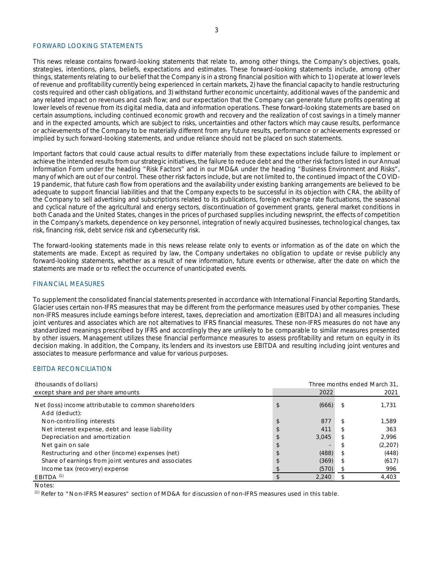#### FORWARD LOOKING STATEMENTS

This news release contains forward-looking statements that relate to, among other things, the Company's objectives, goals, strategies, intentions, plans, beliefs, expectations and estimates. These forward-looking statements include, among other things, statements relating to our belief that the Company is in a strong financial position with which to 1) operate at lower levels of revenue and profitability currently being experienced in certain markets, 2) have the financial capacity to handle restructuring costs required and other cash obligations, and 3) withstand further economic uncertainty, additional waves of the pandemic and any related impact on revenues and cash flow; and our expectation that the Company can generate future profits operating at lower levels of revenue from its digital media, data and information operations. These forward-looking statements are based on certain assumptions, including continued economic growth and recovery and the realization of cost savings in a timely manner and in the expected amounts, which are subject to risks, uncertainties and other factors which may cause results, performance or achievements of the Company to be materially different from any future results, performance or achievements expressed or implied by such forward-looking statements, and undue reliance should not be placed on such statements.

Important factors that could cause actual results to differ materially from these expectations include failure to implement or achieve the intended results from our strategic initiatives, the failure to reduce debt and the other risk factors listed in our Annual Information Form under the heading "Risk Factors" and in our MD&A under the heading "Business Environment and Risks", many of which are out of our control. These other risk factors include, but are not limited to, the continued impact of the COVID-19 pandemic, that future cash flow from operations and the availability under existing banking arrangements are believed to be adequate to support financial liabilities and that the Company expects to be successful in its objection with CRA, the ability of the Company to sell advertising and subscriptions related to its publications, foreign exchange rate fluctuations, the seasonal and cyclical nature of the agricultural and energy sectors, discontinuation of government grants, general market conditions in both Canada and the United States, changes in the prices of purchased supplies including newsprint, the effects of competition in the Company's markets, dependence on key personnel, integration of newly acquired businesses, technological changes, tax risk, financing risk, debt service risk and cybersecurity risk.

The forward-looking statements made in this news release relate only to events or information as of the date on which the statements are made. Except as required by law, the Company undertakes no obligation to update or revise publicly any forward-looking statements, whether as a result of new information, future events or otherwise, after the date on which the statements are made or to reflect the occurrence of unanticipated events.

#### FINANCIAL MEASURES

To supplement the consolidated financial statements presented in accordance with International Financial Reporting Standards, Glacier uses certain non-IFRS measures that may be different from the performance measures used by other companies. These non-IFRS measures include earnings before interest, taxes, depreciation and amortization (EBITDA) and all measures including joint ventures and associates which are not alternatives to IFRS financial measures. These non-IFRS measures do not have any standardized meanings prescribed by IFRS and accordingly they are unlikely to be comparable to similar measures presented by other issuers. Management utilizes these financial performance measures to assess profitability and return on equity in its decision making. In addition, the Company, its lenders and its investors use EBITDA and resulting including joint ventures and associates to measure performance and value for various purposes.

#### EBITDA RECONCILIATION

| (thousands of dollars)                                                 | Three months ended March 31, |       |   |         |
|------------------------------------------------------------------------|------------------------------|-------|---|---------|
| except share and per share amounts                                     |                              | 2022  |   | 2021    |
| Net (loss) income attributable to common shareholders<br>Add (deduct): | \$                           | (666) |   | 1,731   |
| Non-controlling interests                                              | \$                           | 877   |   | 1.589   |
| Net interest expense, debt and lease liability                         |                              | 411   |   | 363     |
| Depreciation and amortization                                          |                              | 3.045 | S | 2.996   |
| Net gain on sale                                                       |                              | -     |   | (2,207) |
| Restructuring and other (income) expenses (net)                        |                              | (488) |   | (448)   |
| Share of earnings from joint ventures and associates                   | S                            | (369) |   | (617)   |
| Income tax (recovery) expense                                          |                              | (570) |   | 996     |
| $EBITDA$ <sup>(1)</sup>                                                |                              | 2.240 |   | 4.403   |

Notes:

 $<sup>(1)</sup>$  Refer to "Non-IFRS Measures" section of MD&A for discussion of non-IFRS measures used in this table.</sup>